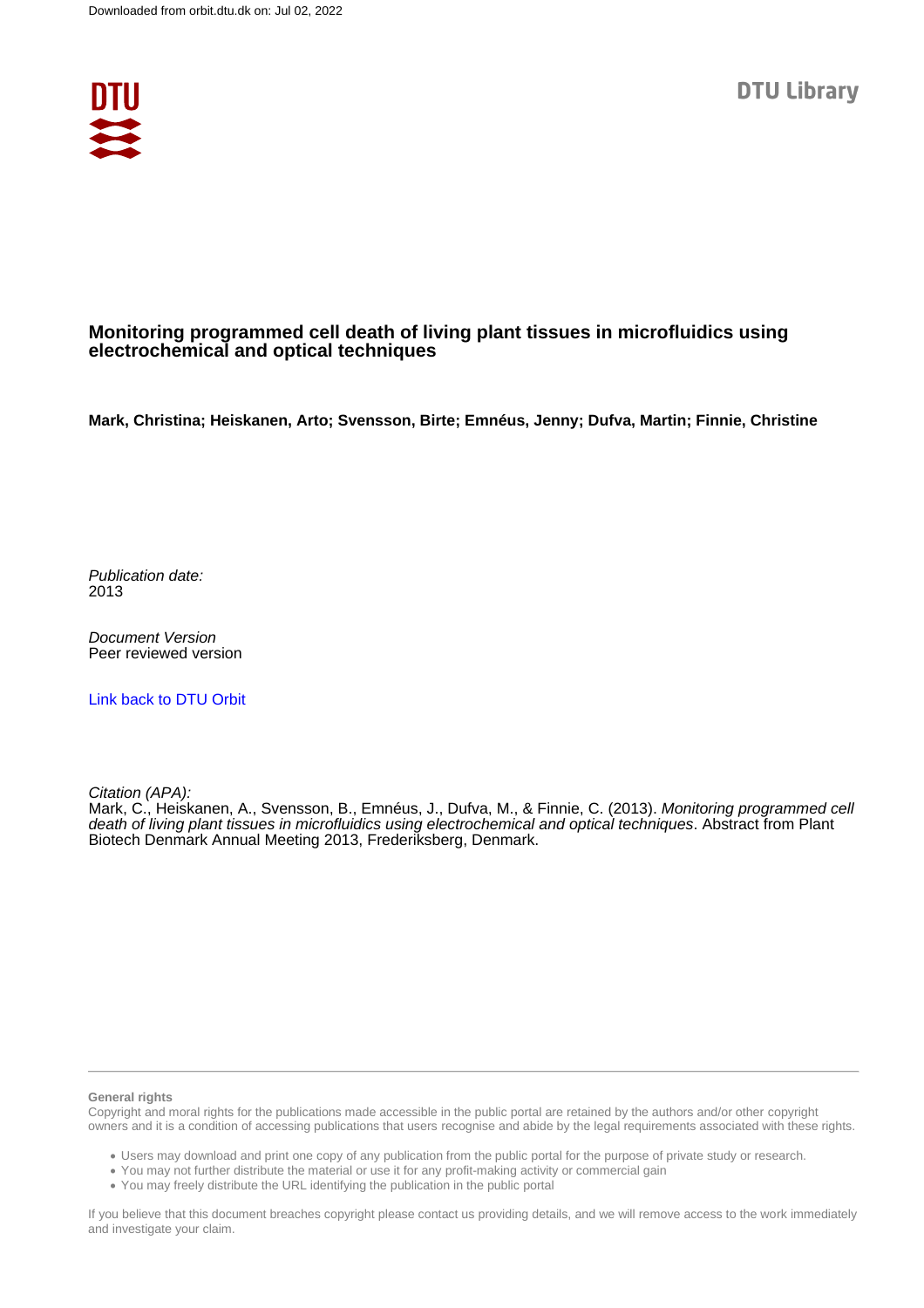

### **Monitoring programmed cell death of living plant tissues in microfluidics using electrochemical and optical techniques**

**Mark, Christina; Heiskanen, Arto; Svensson, Birte; Emnéus, Jenny; Dufva, Martin; Finnie, Christine**

Publication date: 2013

Document Version Peer reviewed version

[Link back to DTU Orbit](https://orbit.dtu.dk/en/publications/2fe1b207-c0e8-44ee-816f-cdc4661e2b5d)

Citation (APA):

Mark, C., Heiskanen, A., Svensson, B., Emnéus, J., Dufva, M., & Finnie, C. (2013). Monitoring programmed cell death of living plant tissues in microfluidics using electrochemical and optical techniques. Abstract from Plant Biotech Denmark Annual Meeting 2013, Frederiksberg, Denmark.

#### **General rights**

Copyright and moral rights for the publications made accessible in the public portal are retained by the authors and/or other copyright owners and it is a condition of accessing publications that users recognise and abide by the legal requirements associated with these rights.

Users may download and print one copy of any publication from the public portal for the purpose of private study or research.

- You may not further distribute the material or use it for any profit-making activity or commercial gain
- You may freely distribute the URL identifying the publication in the public portal

If you believe that this document breaches copyright please contact us providing details, and we will remove access to the work immediately and investigate your claim.